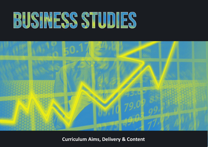## BUSINESS STUDIES



**Curriculum Aims, Delivery & Content**